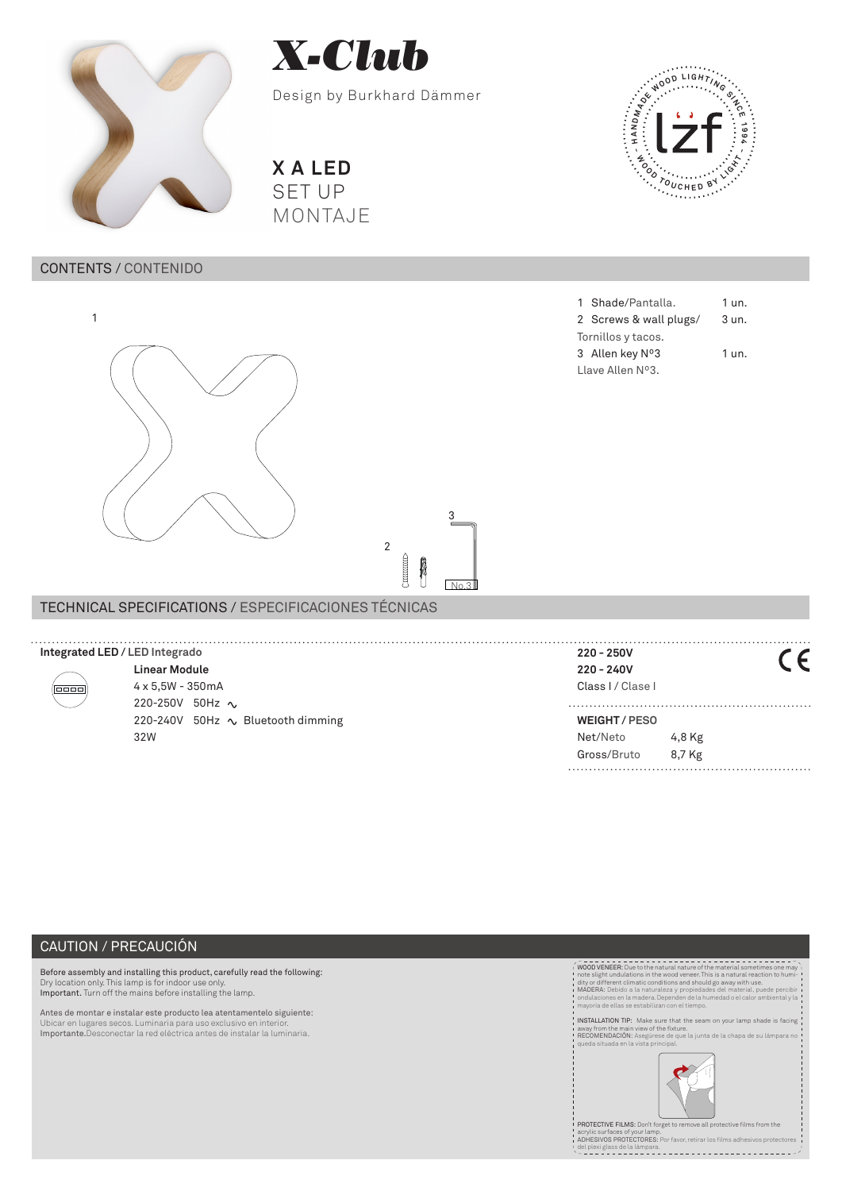



Design by Burkhard Dämmer

**X A LED** SET UP MONTAJE

# CONTENTS / CONTENIDO



2 Screws & wall plugs/ 3 un. Tornillos y tacos. 3 Allen key Nº3 1 un. Llave Allen Nº3.

1 Shade/Pantalla. 1 un.

**- <sup>W</sup> <sup>O</sup> <sup>O</sup> <sup>D</sup> <sup>T</sup> <sup>O</sup> <sup>U</sup> <sup>C</sup> <sup>H</sup> <sup>E</sup> <sup>D</sup> <sup>B</sup> <sup>Y</sup> <sup>L</sup> <sup>I</sup> <sup>G</sup> <sup>H</sup> <sup>T</sup> -**

**ANDRO DELIGHTANCE** 

| TECHNICAL SPECIFICATIONS / ESPECIFICACIONES TÉCNICAS |                                   |                    |        |
|------------------------------------------------------|-----------------------------------|--------------------|--------|
|                                                      |                                   |                    |        |
| Integrated LED / LED Integrado                       |                                   | $220 - 250V$       |        |
| 0000                                                 | <b>Linear Module</b>              | $220 - 240V$       |        |
|                                                      | $4 \times 5,5W - 350mA$           | Class I / Clase I  |        |
|                                                      | 220-250V 50Hz $\sim$              |                    |        |
|                                                      | 220-240V 50Hz ∿ Bluetooth dimming | <b>WEIGHT/PESO</b> |        |
|                                                      | 32W                               | Net/Neto           | 4,8 Kg |
|                                                      |                                   | Gross/Bruto        | 8,7 Kg |

**CONSTRUCTED** Å

3

 $N<sub>0</sub>$ 

2

# CAUTION / PRECAUCIÓN

Before assembly and installing this product, carefully read the following:<br>Dry location only. This lamp is for indoor use only.<br>Important. Turn off the mains before installing the lamp.

Antes de montar e instalar este producto lea atentamentelo siguiente: Ubicar en lugares secos. Luminaria para uso exclusivo en interior. Importante.Desconectar la red eléctrica antes de instalar la luminaria.



PROTECTIVE FILMS: Don't forget to remove all pro

acrylic surfaces of your lamp. ADHESIVOS PROTECTORES: Por favor, retirar los films adhesivos protectores del plexi glass de la lámpara.

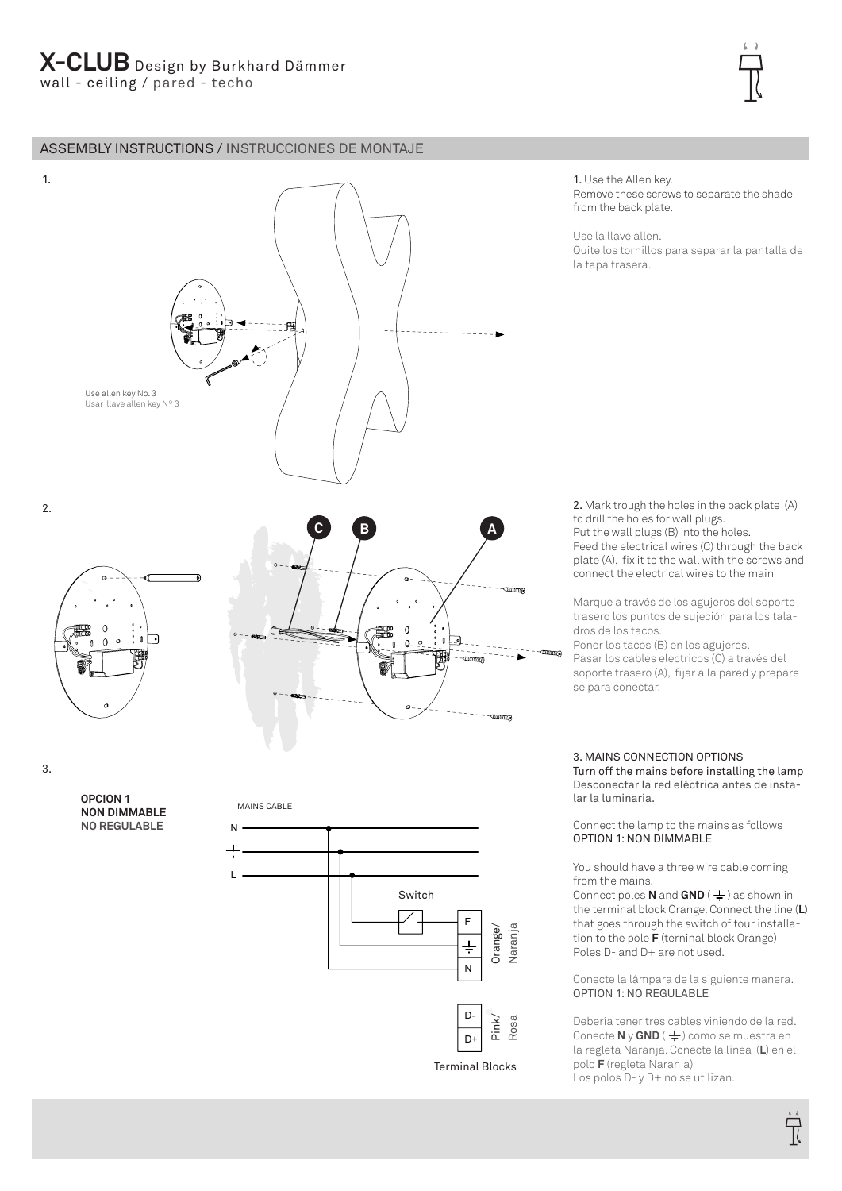# ASSEMBLY INSTRUCTIONS / INSTRUCCIONES DE MONTAJE



Remove these screws to separate the shade from the back plate.

Use la llave allen.

1. Use the Allen key.

Quite los tornillos para separar la pantalla de la tapa trasera.

2. Mark trough the holes in the back plate (A) to drill the holes for wall plugs. Put the wall plugs (B) into the holes. Feed the electrical wires (C) through the back plate (A), fix it to the wall with the screws and connect the electrical wires to the main

Marque a través de los agujeros del soporte trasero los puntos de sujeción para los taladros de los tacos.

Poner los tacos (B) en los agujeros. Pasar los cables electricos (C) a través del soporte trasero (A), fijar a la pared y preparese para conectar.

3. MAINS CONNECTION OPTIONS Turn off the mains before installing the lamp Desconectar la red eléctrica antes de instalar la luminaria.

Connect the lamp to the mains as follows OPTION 1: NON DIMMABLE

You should have a three wire cable coming from the mains.

Connect poles **N** and  $GND$  ( $\neq$ ) as shown in the terminal block Orange. Connect the line (**L**) that goes through the switch of tour installation to the pole **F** (terninal block Orange) Poles D- and D+ are not used.

Conecte la lámpara de la siguiente manera. OPTION 1: NO REGULABLE

Debería tener tres cables viniendo de la red. Conecte **N** y **GND** ( $\frac{1}{2}$ ) como se muestra en la regleta Naranja. Conecte la línea (**L**) en el polo **F** (regleta Naranja) Los polos D- y D+ no se utilizan.

3.

**OPCION 1 NON DIMMABLE NO REGULABLE**

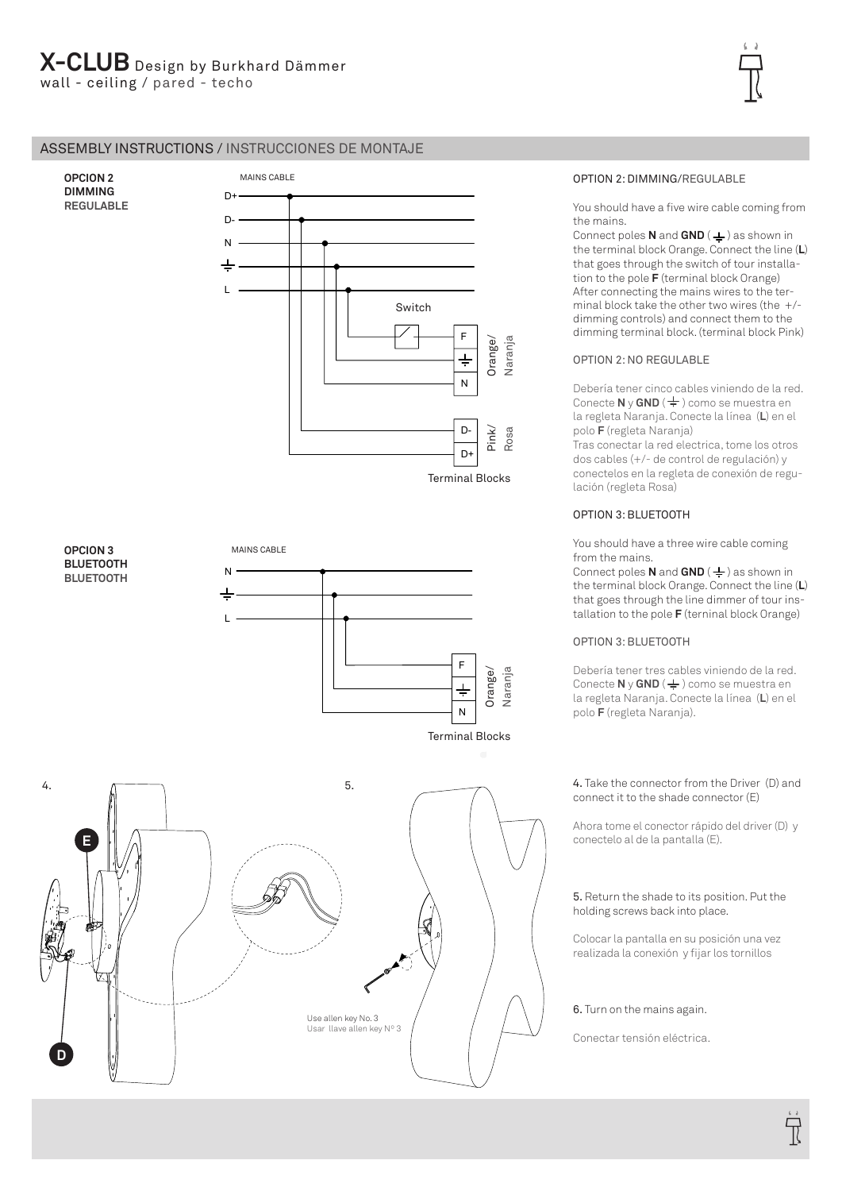# ASSEMBLY INSTRUCTIONS / INSTRUCCIONES DE MONTAJE

**OPCION 2 DIMMING REGULABLE**

**D**





Use allen key No. 3 Usar llave allen key Nº 3

# OPTION 2: DIMMING/REGULABLE

You should have a five wire cable coming from the mains.

**Connect poles N** and **GND** ( $\neq$ ) as shown in the terminal block Orange. Connect the line (**L**) that goes through the switch of tour installation to the pole **F** (terminal block Orange) After connecting the mains wires to the terminal block take the other two wires (the +/ dimming controls) and connect them to the dimming terminal block. (terminal block Pink)

### OPTION 2: NO REGULABLE

Debería tener cinco cables viniendo de la red. **Conecte N v GND** ( $\frac{1}{2}$ ) como se muestra en la regleta Naranja. Conecte la línea (**L**) en el polo **F** (regleta Naranja)

Tras conectar la red electrica, tome los otros dos cables (+/- de control de regulación) y conectelos en la regleta de conexión de regulación (regleta Rosa)

## OPTION 3: BLUETOOTH

You should have a three wire cable coming from the mains.

Connect poles **N** and **GND** ( $\frac{1}{2}$ ) as shown in the terminal block Orange. Connect the line (**L**) that goes through the line dimmer of tour installation to the pole **F** (terninal block Orange)

# OPTION 3: BLUETOOTH

Debería tener tres cables viniendo de la red. Conecte **N** y **GND** ( $\frac{1}{2}$ ) como se muestra en la regleta Naranja. Conecte la línea (**L**) en el polo **F** (regleta Naranja).

### 4. Take the connector from the Driver (D) and connect it to the shade connector (E)

Ahora tome el conector rápido del driver (D) y conectelo al de la pantalla (E).

### 5. Return the shade to its position. Put the holding screws back into place.

Colocar la pantalla en su posición una vez realizada la conexión y fijar los tornillos

### 6. Turn on the mains again.

Conectar tensión eléctrica.